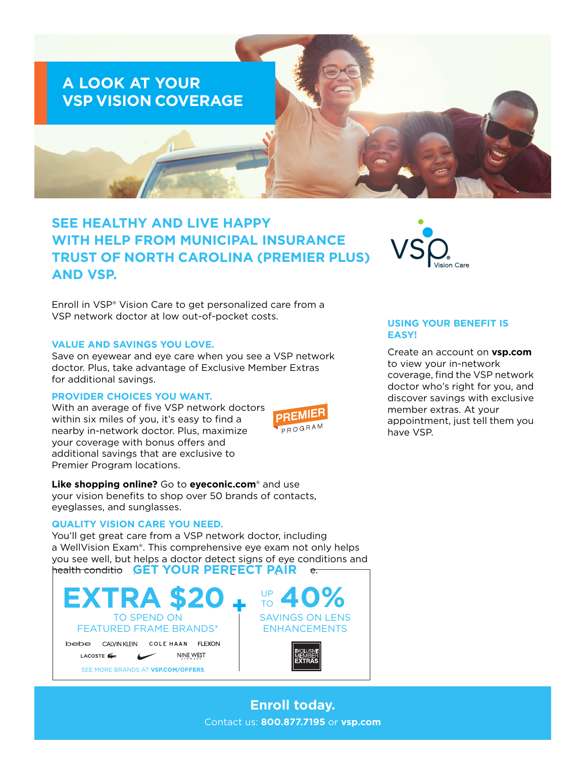

# **SEE HEALTHY AND LIVE HAPPY WITH HELP FROM MUNICIPAL INSURANCE TRUST OF NORTH CAROLINA (PREMIER PLUS) AND VSP.**

Enroll in VSP® Vision Care to get personalized care from a VSP network doctor at low out-of-pocket costs.

#### **VALUE AND SAVINGS YOU LOVE.**

Save on eyewear and eye care when you see a VSP network doctor. Plus, take advantage of Exclusive Member Extras for additional savings.

#### **PROVIDER CHOICES YOU WANT.**

With an average of five VSP network doctors within six miles of you, it's easy to find a nearby in-network doctor. Plus, maximize your coverage with bonus offers and additional savings that are exclusive to Premier Program locations.



**Like shopping online?** Go to **[eyeconic.com](https://www.eyeconic.com)**® and use your vision benefits to shop over 50 brands of contacts, eyeglasses, and sunglasses.

#### **QUALITY VISION CARE YOU NEED.**

You'll get great care from a VSP network doctor, including a WellVision Exam®. This comprehensive eye exam not only helps you see well, but helps a doctor detect signs of eye conditions and health conditions, **GET YOUR PERFECT PAIR** and high



## **USING YOUR BENEFIT IS EASY!**

Create an account on **[vsp.com](http://www.vsp.com)** to view your in-network coverage, find the VSP network doctor who's right for you, and discover savings with exclusive member extras. At your appointment, just tell them you have VSP.

**Enroll today.** Contact us: **800.877.7195** or **[vsp.com](http://www.vsp.com)**